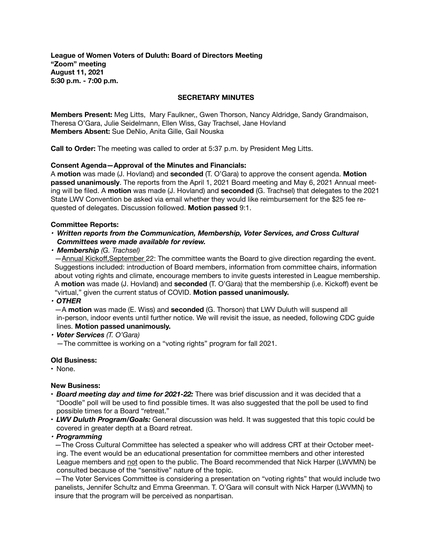**League of Women Voters of Duluth: Board of Directors Meeting "Zoom" meeting August 11, 2021 5:30 p.m. - 7:00 p.m.** 

## **SECRETARY MINUTES**

**Members Present:** Meg Litts, Mary Faulkner,, Gwen Thorson, Nancy Aldridge, Sandy Grandmaison, Theresa O'Gara, Julie Seidelmann, Ellen Wiss, Gay Trachsel, Jane Hovland **Members Absent:** Sue DeNio, Anita Gille, Gail Nouska

**Call to Order:** The meeting was called to order at 5:37 p.m. by President Meg Litts.

## **Consent Agenda—Approval of the Minutes and Financials:**

A **motion** was made (J. Hovland) and **seconded** (T. O'Gara) to approve the consent agenda. **Motion passed unanimously**. The reports from the April 1, 2021 Board meeting and May 6, 2021 Annual meeting will be filed. A **motion** was made (J. Hovland) and **seconded** (G. Trachsel) that delegates to the 2021 State LWV Convention be asked via email whether they would like reimbursement for the \$25 fee requested of delegates. Discussion followed. **Motion passed** 9:1.

### **Committee Reports:**

- *•* Written reports from the Communication, Membership, Voter Services, and Cross Cultural *Committees were made available for review.*
- *• Membership (G. Trachsel)*

 —Annual Kickoff,September 22: The committee wants the Board to give direction regarding the event. Suggestions included: introduction of Board members, information from committee chairs, information about voting rights and climate, encourage members to invite guests interested in League membership. A **motion** was made (J. Hovland) and **seconded** (T. O'Gara) that the membership (i.e. Kickoff) event be "virtual," given the current status of COVID. **Motion passed unanimously.** 

*• OTHER* 

—A **motion** was made (E. Wiss) and **seconded** (G. Thorson) that LWV Duluth will suspend all in-person, indoor events until further notice. We will revisit the issue, as needed, following CDC guide lines. **Motion passed unanimously.** 

*• Voter Services (T. O'Gara)* 

 *—*The committee is working on a "voting rights" program for fall 2021.

#### **Old Business:**

• None.

## **New Business:**

- *Board meeting day and time for 2021-22:* There was brief discussion and it was decided that a "Doodle" poll will be used to find possible times. It was also suggested that the poll be used to find possible times for a Board "retreat."
- *LWV Duluth Program/Goals:* General discussion was held. It was suggested that this topic could be covered in greater depth at a Board retreat.
- *• Programming*

 —The Cross Cultural Committee has selected a speaker who will address CRT at their October meet ing. The event would be an educational presentation for committee members and other interested League members and not open to the public. The Board recommended that Nick Harper (LWVMN) be consulted because of the "sensitive" nature of the topic.

 —The Voter Services Committee is considering a presentation on "voting rights" that would include two panelists, Jennifer Schultz and Emma Greenman. T. O'Gara will consult with Nick Harper (LWVMN) to insure that the program will be perceived as nonpartisan.